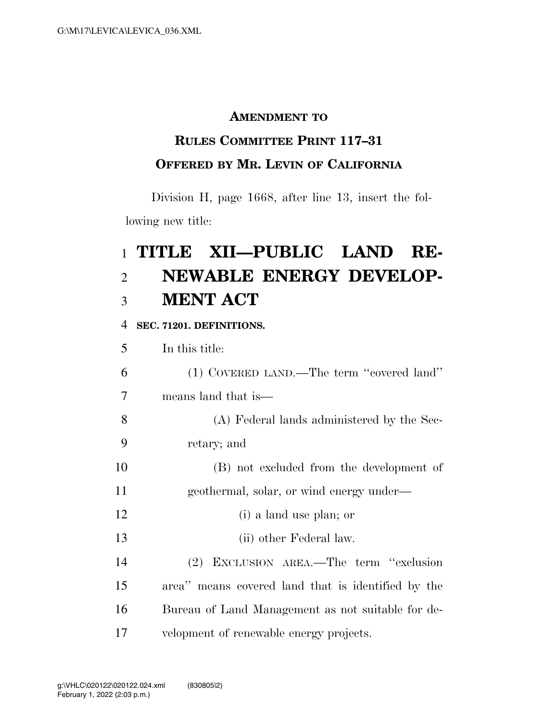### **AMENDMENT TO**

## **RULES COMMITTEE PRINT 117–31 OFFERED BY MR. LEVIN OF CALIFORNIA**

Division H, page 1668, after line 13, insert the following new title:

# **TITLE XII—PUBLIC LAND RE- NEWABLE ENERGY DEVELOP-MENT ACT**

#### **SEC. 71201. DEFINITIONS.**

| 5  | In this title:                                     |
|----|----------------------------------------------------|
| 6  | (1) COVERED LAND.—The term "covered land"          |
| 7  | means land that is—                                |
| 8  | (A) Federal lands administered by the Sec-         |
| 9  | retary; and                                        |
| 10 | (B) not excluded from the development of           |
| 11 | geothermal, solar, or wind energy under—           |
| 12 | (i) a land use plan; or                            |
| 13 | (ii) other Federal law.                            |
| 14 | (2) EXCLUSION AREA.—The term "exclusion            |
| 15 | area" means covered land that is identified by the |
| 16 | Bureau of Land Management as not suitable for de-  |
| 17 | velopment of renewable energy projects.            |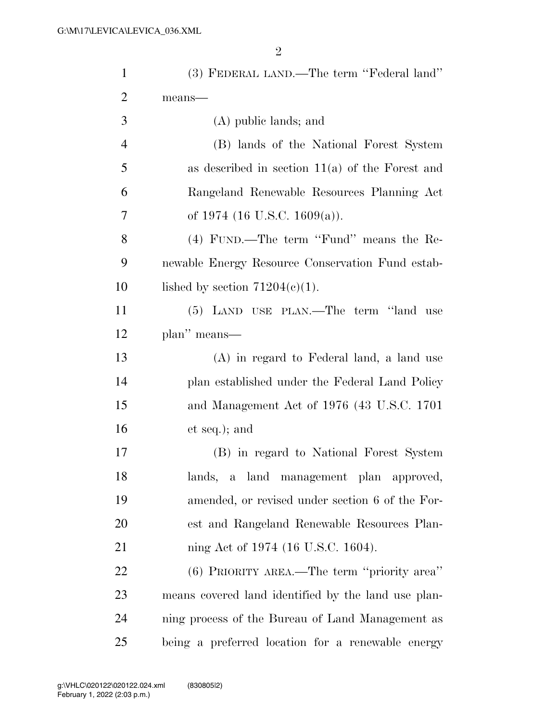| $\mathbf{1}$   | (3) FEDERAL LAND.—The term "Federal land"           |
|----------------|-----------------------------------------------------|
| $\overline{2}$ | means-                                              |
| 3              | (A) public lands; and                               |
| $\overline{4}$ | (B) lands of the National Forest System             |
| 5              | as described in section $11(a)$ of the Forest and   |
| 6              | Rangeland Renewable Resources Planning Act          |
| 7              | of 1974 (16 U.S.C. 1609(a)).                        |
| 8              | (4) FUND.—The term "Fund" means the Re-             |
| 9              | newable Energy Resource Conservation Fund estab-    |
| 10             | lished by section $71204(c)(1)$ .                   |
| 11             | (5) LAND USE PLAN.—The term "land use               |
| 12             | plan" means—                                        |
| 13             | (A) in regard to Federal land, a land use           |
| 14             | plan established under the Federal Land Policy      |
| 15             | and Management Act of 1976 (43 U.S.C. 1701)         |
| 16             | et seq.); and                                       |
| 17             | (B) in regard to National Forest System             |
| 18             | lands, a land management plan approved,             |
| 19             | amended, or revised under section 6 of the For-     |
| 20             | est and Rangeland Renewable Resources Plan-         |
| 21             | ning Act of 1974 (16 U.S.C. 1604).                  |
| 22             | (6) PRIORITY AREA.—The term "priority area"         |
| 23             | means covered land identified by the land use plan- |
| 24             | ning process of the Bureau of Land Management as    |
| 25             | being a preferred location for a renewable energy   |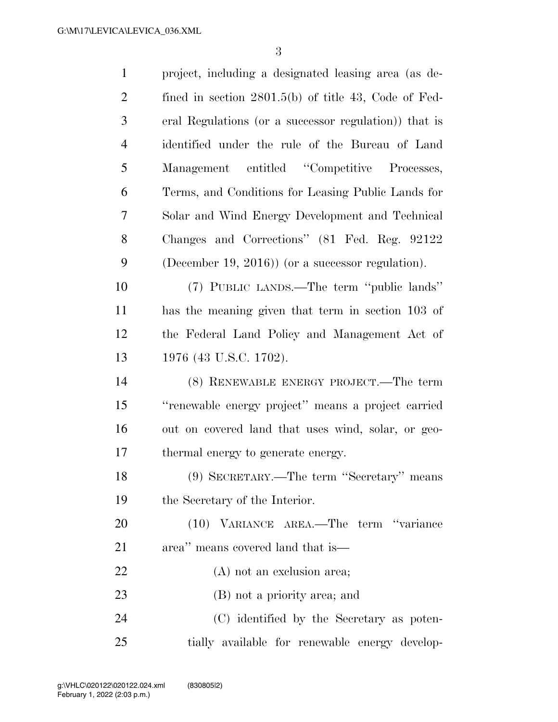| $\mathbf{1}$   | project, including a designated leasing area (as de-   |
|----------------|--------------------------------------------------------|
| $\overline{2}$ | fined in section $2801.5(b)$ of title 43, Code of Fed- |
| 3              | eral Regulations (or a successor regulation)) that is  |
| $\overline{4}$ | identified under the rule of the Bureau of Land        |
| 5              | Management entitled "Competitive Processes,            |
| 6              | Terms, and Conditions for Leasing Public Lands for     |
| 7              | Solar and Wind Energy Development and Technical        |
| 8              | Changes and Corrections" (81 Fed. Reg. 92122           |
| 9              | (December 19, 2016)) (or a successor regulation).      |
| 10             | (7) PUBLIC LANDS.—The term "public lands"              |
| 11             | has the meaning given that term in section 103 of      |
| 12             | the Federal Land Policy and Management Act of          |
| 13             | 1976 (43 U.S.C. 1702).                                 |
| 14             | (8) RENEWABLE ENERGY PROJECT.—The term                 |
| 15             | "renewable energy project" means a project carried     |
| 16             | out on covered land that uses wind, solar, or geo-     |
| 17             | thermal energy to generate energy.                     |
| 18             | (9) SECRETARY.—The term "Secretary" means              |
| 19             | the Secretary of the Interior.                         |
| 20             | (10) VARIANCE AREA.—The term "variance                 |
| 21             | area" means covered land that is—                      |
| 22             | (A) not an exclusion area;                             |
| 23             | (B) not a priority area; and                           |
| 24             | (C) identified by the Secretary as poten-              |
| 25             | tially available for renewable energy develop-         |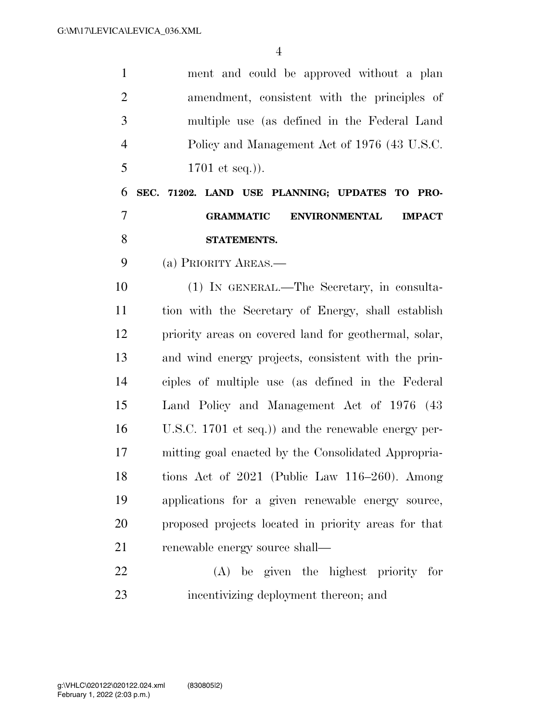| $\mathbf{1}$   | ment and could be approved without a plan                 |
|----------------|-----------------------------------------------------------|
| $\overline{2}$ | amendment, consistent with the principles of              |
| 3              | multiple use (as defined in the Federal Land              |
| $\overline{4}$ | Policy and Management Act of 1976 (43 U.S.C.              |
| 5              | 1701 et seq.).                                            |
| 6              | SEC. 71202. LAND USE PLANNING; UPDATES TO PRO-            |
| $\overline{7}$ | <b>GRAMMATIC</b><br><b>ENVIRONMENTAL</b><br><b>IMPACT</b> |
| 8              | STATEMENTS.                                               |
| 9              | (a) PRIORITY AREAS.—                                      |
| 10             | (1) IN GENERAL.—The Secretary, in consulta-               |
| 11             | tion with the Secretary of Energy, shall establish        |
| 12             | priority areas on covered land for geothermal, solar,     |
| 13             | and wind energy projects, consistent with the prin-       |
| 14             | ciples of multiple use (as defined in the Federal         |
| 15             | Land Policy and Management Act of 1976 (43)               |
| 16             | U.S.C. 1701 et seq.)) and the renewable energy per-       |
| 17             | mitting goal enacted by the Consolidated Appropria-       |
| 18             | tions Act of $2021$ (Public Law $116-260$ ). Among        |
| 19             | applications for a given renewable energy source,         |
| 20             | proposed projects located in priority areas for that      |
| 21             | renewable energy source shall—                            |
| 22             | (A) be given the highest priority for                     |
| 23             | incentivizing deployment thereon; and                     |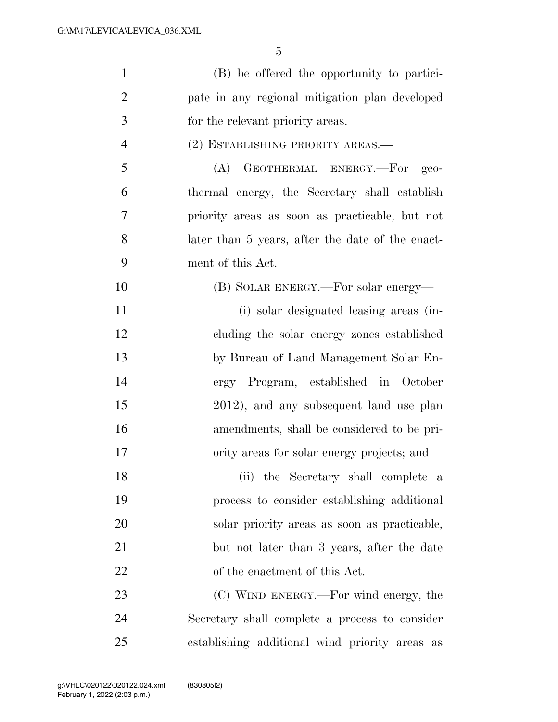| $\mathbf{1}$   | (B) be offered the opportunity to partici-       |
|----------------|--------------------------------------------------|
| $\overline{2}$ | pate in any regional mitigation plan developed   |
| 3              | for the relevant priority areas.                 |
| $\overline{4}$ | (2) ESTABLISHING PRIORITY AREAS.—                |
| 5              | GEOTHERMAL ENERGY.—For geo-<br>(A)               |
| 6              | thermal energy, the Secretary shall establish    |
| 7              | priority areas as soon as practicable, but not   |
| 8              | later than 5 years, after the date of the enact- |
| 9              | ment of this Act.                                |
| 10             | (B) SOLAR ENERGY.—For solar energy—              |
| 11             | (i) solar designated leasing areas (in-          |
| 12             | cluding the solar energy zones established       |
| 13             | by Bureau of Land Management Solar En-           |
| 14             | ergy Program, established in October             |
| 15             | 2012), and any subsequent land use plan          |
| 16             | amendments, shall be considered to be pri-       |
| 17             | ority areas for solar energy projects; and       |
| 18             | (ii) the Secretary shall complete a              |
| 19             | process to consider establishing additional      |
| 20             | solar priority areas as soon as practicable,     |
| 21             | but not later than 3 years, after the date       |
| 22             | of the enactment of this Act.                    |
| 23             | (C) WIND ENERGY.—For wind energy, the            |
| 24             | Secretary shall complete a process to consider   |
| 25             | establishing additional wind priority areas as   |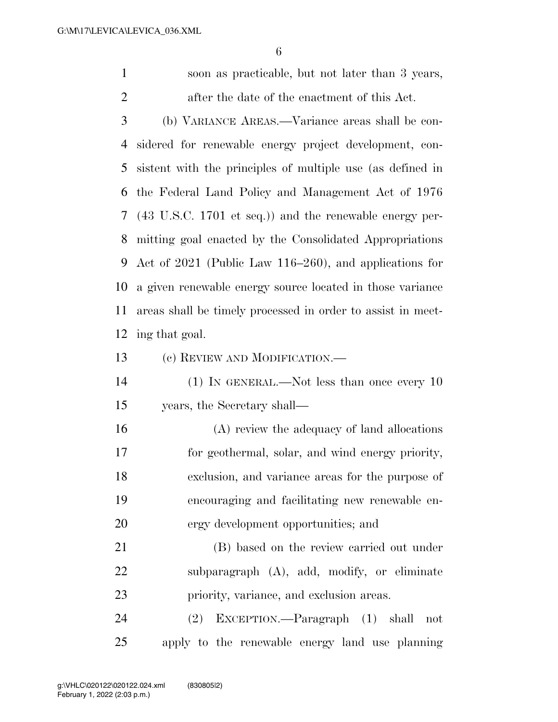soon as practicable, but not later than 3 years, after the date of the enactment of this Act.

 (b) VARIANCE AREAS.—Variance areas shall be con- sidered for renewable energy project development, con- sistent with the principles of multiple use (as defined in the Federal Land Policy and Management Act of 1976 (43 U.S.C. 1701 et seq.)) and the renewable energy per- mitting goal enacted by the Consolidated Appropriations Act of 2021 (Public Law 116–260), and applications for a given renewable energy source located in those variance areas shall be timely processed in order to assist in meet-ing that goal.

(c) REVIEW AND MODIFICATION.—

 (1) IN GENERAL.—Not less than once every 10 years, the Secretary shall—

 (A) review the adequacy of land allocations for geothermal, solar, and wind energy priority, exclusion, and variance areas for the purpose of encouraging and facilitating new renewable en-ergy development opportunities; and

 (B) based on the review carried out under subparagraph (A), add, modify, or eliminate priority, variance, and exclusion areas.

 (2) EXCEPTION.—Paragraph (1) shall not apply to the renewable energy land use planning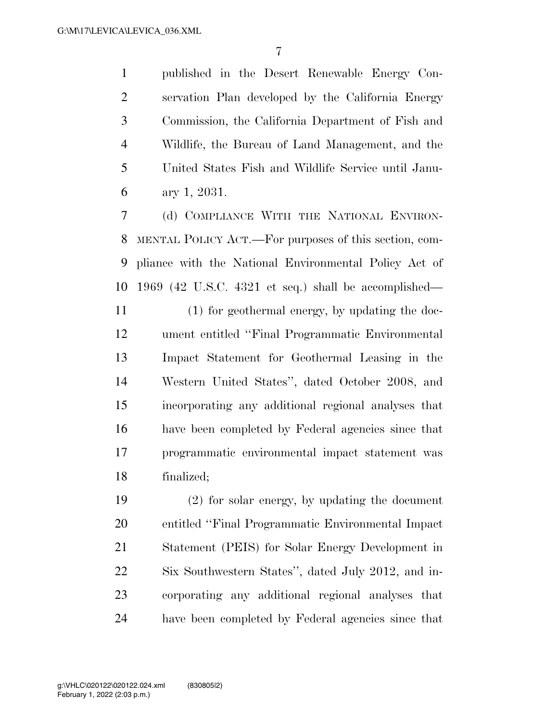published in the Desert Renewable Energy Con- servation Plan developed by the California Energy Commission, the California Department of Fish and Wildlife, the Bureau of Land Management, and the United States Fish and Wildlife Service until Janu-ary 1, 2031.

 (d) COMPLIANCE WITH THE NATIONAL ENVIRON- MENTAL POLICY ACT.—For purposes of this section, com- pliance with the National Environmental Policy Act of 1969 (42 U.S.C. 4321 et seq.) shall be accomplished—

 (1) for geothermal energy, by updating the doc- ument entitled ''Final Programmatic Environmental Impact Statement for Geothermal Leasing in the Western United States'', dated October 2008, and incorporating any additional regional analyses that have been completed by Federal agencies since that programmatic environmental impact statement was finalized;

 (2) for solar energy, by updating the document entitled ''Final Programmatic Environmental Impact Statement (PEIS) for Solar Energy Development in Six Southwestern States'', dated July 2012, and in- corporating any additional regional analyses that have been completed by Federal agencies since that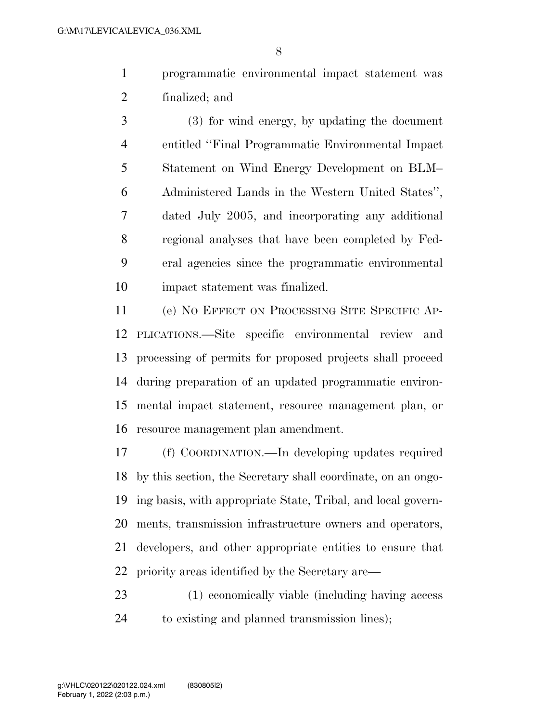programmatic environmental impact statement was finalized; and

 (3) for wind energy, by updating the document entitled ''Final Programmatic Environmental Impact Statement on Wind Energy Development on BLM– Administered Lands in the Western United States'', dated July 2005, and incorporating any additional regional analyses that have been completed by Fed- eral agencies since the programmatic environmental impact statement was finalized.

 (e) NO EFFECT ON PROCESSING SITE SPECIFIC AP- PLICATIONS.—Site specific environmental review and processing of permits for proposed projects shall proceed during preparation of an updated programmatic environ- mental impact statement, resource management plan, or resource management plan amendment.

 (f) COORDINATION.—In developing updates required by this section, the Secretary shall coordinate, on an ongo- ing basis, with appropriate State, Tribal, and local govern- ments, transmission infrastructure owners and operators, developers, and other appropriate entities to ensure that priority areas identified by the Secretary are—

 (1) economically viable (including having access to existing and planned transmission lines);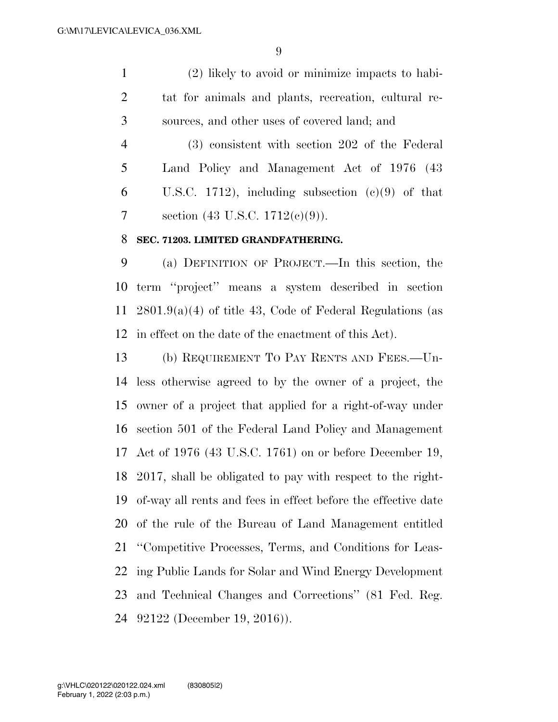(2) likely to avoid or minimize impacts to habi- tat for animals and plants, recreation, cultural re-sources, and other uses of covered land; and

 (3) consistent with section 202 of the Federal Land Policy and Management Act of 1976 (43 6 U.S.C. 1712), including subsection  $(e)(9)$  of that section (43 U.S.C. 1712(c)(9)).

#### **SEC. 71203. LIMITED GRANDFATHERING.**

 (a) DEFINITION OF PROJECT.—In this section, the term ''project'' means a system described in section 2801.9(a)(4) of title 43, Code of Federal Regulations (as in effect on the date of the enactment of this Act).

 (b) REQUIREMENT TO PAY RENTS AND FEES.—Un- less otherwise agreed to by the owner of a project, the owner of a project that applied for a right-of-way under section 501 of the Federal Land Policy and Management Act of 1976 (43 U.S.C. 1761) on or before December 19, 2017, shall be obligated to pay with respect to the right- of-way all rents and fees in effect before the effective date of the rule of the Bureau of Land Management entitled ''Competitive Processes, Terms, and Conditions for Leas- ing Public Lands for Solar and Wind Energy Development and Technical Changes and Corrections'' (81 Fed. Reg. 92122 (December 19, 2016)).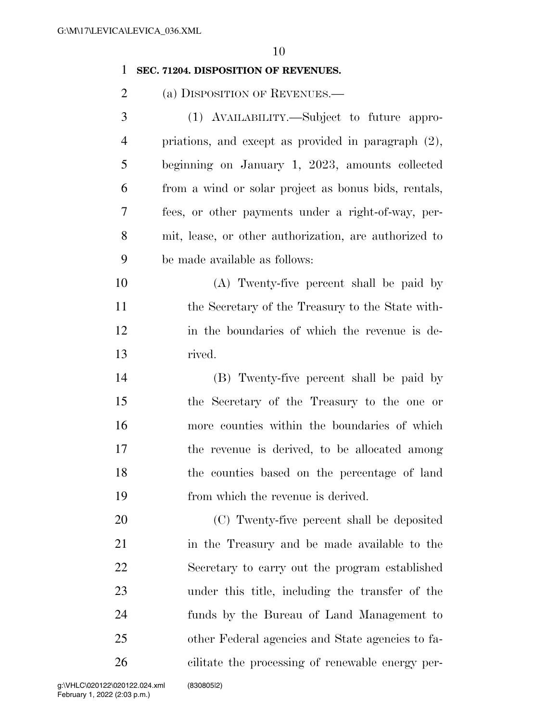#### **SEC. 71204. DISPOSITION OF REVENUES.**

2 (a) DISPOSITION OF REVENUES.—

| 3              | (1) AVAILABILITY.—Subject to future appro-             |
|----------------|--------------------------------------------------------|
| $\overline{4}$ | priations, and except as provided in paragraph $(2)$ , |
| 5              | beginning on January 1, 2023, amounts collected        |
| 6              | from a wind or solar project as bonus bids, rentals,   |
| 7              | fees, or other payments under a right-of-way, per-     |
| 8              | mit, lease, or other authorization, are authorized to  |
| 9              | be made available as follows:                          |

 (A) Twenty-five percent shall be paid by the Secretary of the Treasury to the State with- in the boundaries of which the revenue is de-rived.

 (B) Twenty-five percent shall be paid by the Secretary of the Treasury to the one or more counties within the boundaries of which the revenue is derived, to be allocated among the counties based on the percentage of land from which the revenue is derived.

 (C) Twenty-five percent shall be deposited in the Treasury and be made available to the Secretary to carry out the program established under this title, including the transfer of the funds by the Bureau of Land Management to other Federal agencies and State agencies to fa-cilitate the processing of renewable energy per-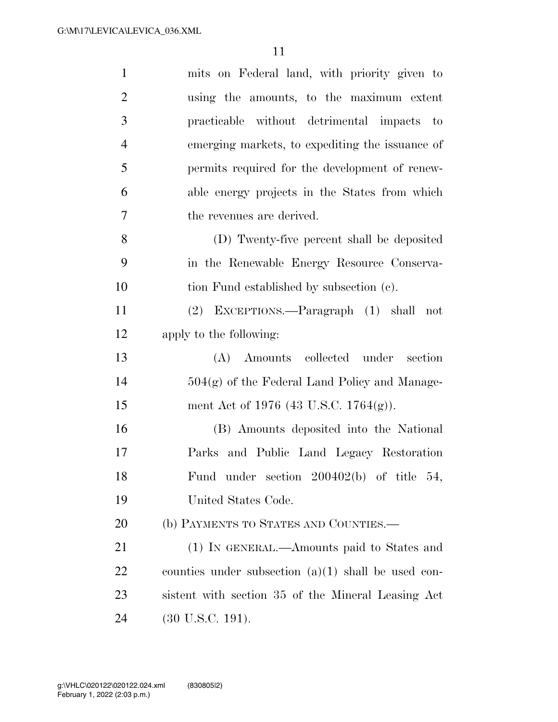| $\mathbf{1}$   | mits on Federal land, with priority given to          |
|----------------|-------------------------------------------------------|
| $\overline{2}$ | using the amounts, to the maximum extent              |
| 3              | practicable without detrimental impacts to            |
| $\overline{4}$ | emerging markets, to expediting the issuance of       |
| 5              | permits required for the development of renew-        |
| 6              | able energy projects in the States from which         |
| 7              | the revenues are derived.                             |
| 8              | (D) Twenty-five percent shall be deposited            |
| 9              | in the Renewable Energy Resource Conserva-            |
| 10             | tion Fund established by subsection (c).              |
| 11             | (2) EXCEPTIONS.—Paragraph (1) shall<br>not            |
| 12             | apply to the following:                               |
|                |                                                       |
| 13             | (A) Amounts collected under section                   |
| 14             | $504(g)$ of the Federal Land Policy and Manage-       |
| 15             | ment Act of 1976 (43 U.S.C. 1764(g)).                 |
| 16             | (B) Amounts deposited into the National               |
| 17             | Parks and Public Land Legacy Restoration              |
| 18             | Fund under section $200402(b)$ of title 54,           |
| 19             | United States Code.                                   |
| 20             | (b) PAYMENTS TO STATES AND COUNTIES.—                 |
| 21             | (1) IN GENERAL.—Amounts paid to States and            |
| 22             | counties under subsection $(a)(1)$ shall be used con- |
| 23             | sistent with section 35 of the Mineral Leasing Act    |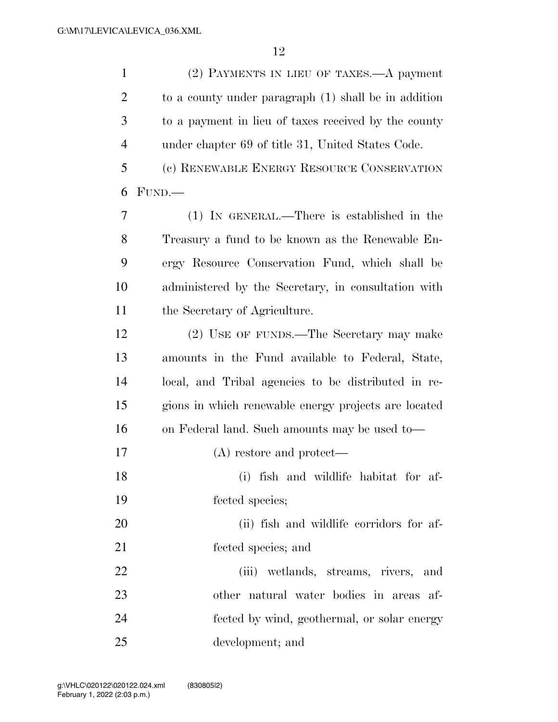| $\mathbf{1}$   | (2) PAYMENTS IN LIEU OF TAXES.—A payment             |
|----------------|------------------------------------------------------|
| $\overline{2}$ | to a county under paragraph (1) shall be in addition |
| 3              | to a payment in lieu of taxes received by the county |
| $\overline{4}$ | under chapter 69 of title 31, United States Code.    |
| 5              | (c) RENEWABLE ENERGY RESOURCE CONSERVATION           |
| 6              | FUND.                                                |
| $\overline{7}$ | (1) IN GENERAL.—There is established in the          |
| 8              | Treasury a fund to be known as the Renewable En-     |
| 9              | ergy Resource Conservation Fund, which shall be      |
| 10             | administered by the Secretary, in consultation with  |
| 11             | the Secretary of Agriculture.                        |
| 12             | (2) USE OF FUNDS.—The Secretary may make             |
| 13             | amounts in the Fund available to Federal, State,     |
| 14             | local, and Tribal agencies to be distributed in re-  |
| 15             | gions in which renewable energy projects are located |
| 16             | on Federal land. Such amounts may be used to-        |
| 17             | $(A)$ restore and protect—                           |
| 18             | (i) fish and wildlife habitat for af-                |
| 19             | fected species;                                      |
| 20             | (ii) fish and wildlife corridors for af-             |
| 21             | fected species; and                                  |
| 22             | (iii) wetlands, streams, rivers, and                 |
| 23             | other natural water bodies in areas af-              |
| 24             | fected by wind, geothermal, or solar energy          |
| 25             | development; and                                     |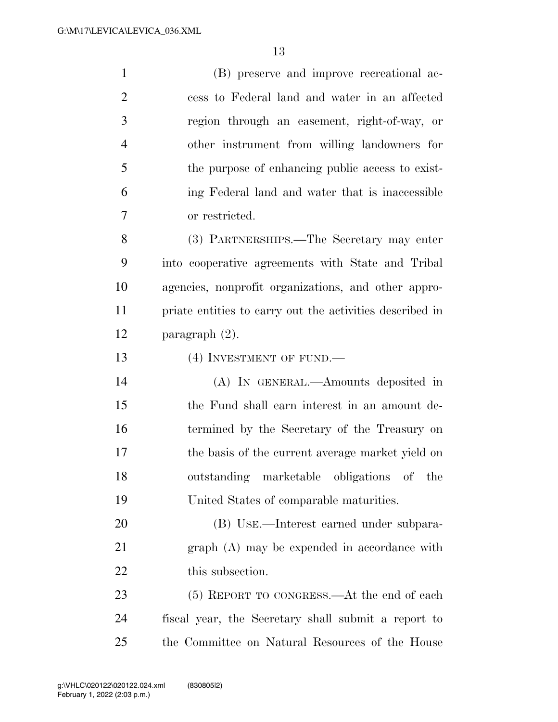(B) preserve and improve recreational ac- cess to Federal land and water in an affected region through an easement, right-of-way, or other instrument from willing landowners for the purpose of enhancing public access to exist- ing Federal land and water that is inaccessible or restricted. (3) PARTNERSHIPS.—The Secretary may enter into cooperative agreements with State and Tribal agencies, nonprofit organizations, and other appro- priate entities to carry out the activities described in paragraph (2). 13 (4) INVESTMENT OF FUND.— (A) IN GENERAL.—Amounts deposited in the Fund shall earn interest in an amount de- termined by the Secretary of the Treasury on the basis of the current average market yield on outstanding marketable obligations of the United States of comparable maturities. (B) USE.—Interest earned under subpara- graph (A) may be expended in accordance with 22 this subsection. 23 (5) REPORT TO CONGRESS.—At the end of each fiscal year, the Secretary shall submit a report to the Committee on Natural Resources of the House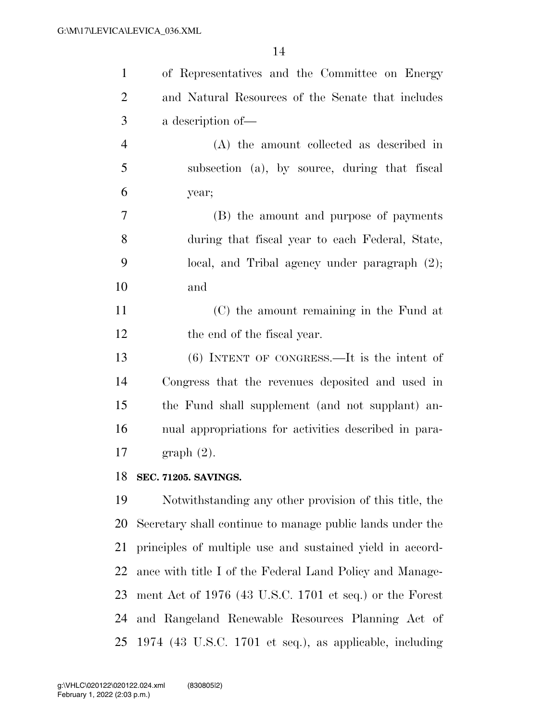| $\mathbf{1}$   | of Representatives and the Committee on Energy            |
|----------------|-----------------------------------------------------------|
| $\overline{2}$ | and Natural Resources of the Senate that includes         |
| 3              | a description of-                                         |
| $\overline{4}$ | (A) the amount collected as described in                  |
| 5              | subsection (a), by source, during that fiscal             |
| 6              | year;                                                     |
| $\overline{7}$ | (B) the amount and purpose of payments                    |
| 8              | during that fiscal year to each Federal, State,           |
| 9              | local, and Tribal agency under paragraph $(2)$ ;          |
| 10             | and                                                       |
| 11             | (C) the amount remaining in the Fund at                   |
| 12             | the end of the fiscal year.                               |
| 13             | $(6)$ INTENT OF CONGRESS.—It is the intent of             |
| 14             | Congress that the revenues deposited and used in          |
| 15             | the Fund shall supplement (and not supplant) an-          |
| 16             | nual appropriations for activities described in para-     |
| 17             | $graph(2)$ .                                              |
| 18             | <b>SEC. 71205. SAVINGS.</b>                               |
| 19             | Notwithstanding any other provision of this title, the    |
| 20             | Secretary shall continue to manage public lands under the |
| 21             | principles of multiple use and sustained yield in accord- |
| 22             | ance with title I of the Federal Land Policy and Manage-  |
| 23             | ment Act of $1976$ (43 U.S.C. 1701 et seq.) or the Forest |
| 24             | and Rangeland Renewable Resources Planning Act of         |
| 25             | 1974 (43 U.S.C. 1701 et seq.), as applicable, including   |